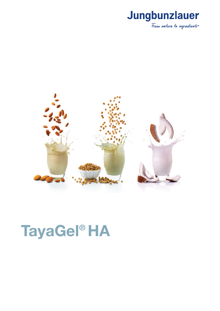



# **TayaGel<sup>®</sup> HA**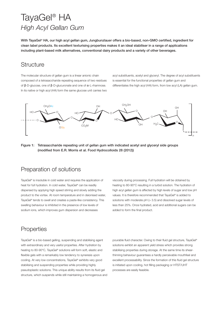# TayaGel® HA *High Acyl Gellan Gum*

**With TayaGel® HA, our high acyl gellan gum, Jungbunzlauer offers a bio-based, non-GMO certified, ingredient for clean label products. Its excellent texturising properties makes it an ideal stabiliser in a range of applications including plant-based milk alternatives, conventional dairy products and a variety of other beverages.** 

# **Structure**

The molecular structure of gellan gum is a linear anionic chain composed of a tetrasaccharide repeating sequence of two residues of β-D-glucose, one of β-D-glucuronate and one of α-L-rhamnose. In its native or high acyl (HA) form the same glucose unit carries two acyl substituents, acetyl and glyceryl. The degree of acyl substituents is essential for the functional properties of gellan gum and differentiates the high acyl (HA) form, from low acyl (LA) gellan gum.



#### **Figure 1: Tetrasaccharide repeating unit of gellan gum with indicated acetyl and glyceryl side groups (modified from E.R. Morris et al. Food Hydrocolloids 28 (2012))**

### Preparation of solutions

TayaGel® is insoluble in cold water and requires the application of heat for full hydration. In cold water, TayaGel® can be readily dispersed by applying high speed stirring and slowly adding the product to the vortex. At room temperature and in deionised water, TayaGel® tends to swell and creates a paste-like consistency. This swelling behaviour is inhibited in the presence of low levels of sodium ions, which improves gum dispersion and decreases

viscosity during processing. Full hydration will be obtained by heating to 80-90°C resulting in a turbid solution. The hydration of high acyl gellan gum is affected by high levels of sugar and low pH values. It is therefore recommended that TayaGel® is added to solutions with moderate  $pH$  ( $>$  3.5) and dissolved sugar levels of less than 25%. Once hydrated, acid and additional sugars can be added to form the final product.

# **Properties**

TayaGel® is a bio-based gelling, suspending and stabilising agent with extraordinary and very useful properties. After hydration by heating to 80-90°C, TayaGel® solutions will form soft, elastic and flexible gels with a remarkably low tendency to syneresis upon cooling. At very low concentrations, TayaGel® exhibits very good stabilising and suspending properties while providing highly pseudoplastic solutions. This unique ability results from its fluid gel structure, which suspends while still maintaining a homogenous and

pourable fluid character. Owing to their fluid gel structure, TayaGel® solutions exhibit an apparent yield stress which provides strong stabilising properties during storage. At the same time its shearthinning behaviour guarantees a hardly perceivable mouthfeel and excellent processability. Since the formation of this fluid gel structure is initiated upon cooling, hot filling packaging or HTST/UHT processes are easily feasible.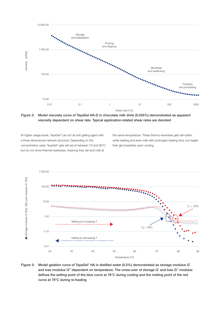

**Figure 2: Model viscosity curve of TayaGel HA-D in chocolate milk drink (0.035%) demonstrated as apparent viscosity dependent on shear rate. Typical application-related shear rates are denoted**

At higher usage levels, TayaGel® can act as soft gelling agent with a three-dimensional network structure. Depending on the concentration used, TayaGel® gels will set at between 70 and 80°C, but do not show thermal hysteresis, meaning they set and melt at

the same temperature. These thermo-reversible gels will soften while heating and even melt with prolonged heating time, but regain their gel properties upon cooling.



**Figure 3: Model gelation curve of TayaGel® HA in distilled water (0.5%) demonstrated as storage modulus G' and loss modulus G'' dependent on temperature. The cross-over of storage G' and loss G'' modulus defines the setting point of the blue curve at 76°C during cooling and the melting point of the red curve at 78°C during re-heating**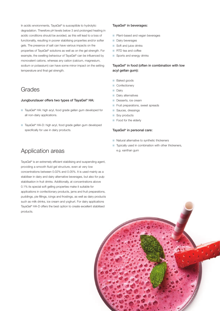In acidic environments, TayaGel® is susceptible to hydrolytic degradation. Therefore pH levels below 3 and prolonged heating in acidic conditions should be avoided, as this will lead to a loss of functionality, resulting in poorer stabilising properties and/or softer gels. The presence of salt can have various impacts on the properties of TayaGel® solutions as well as on the gel strength. For example, the swelling behaviour of TayaGel® can be influenced by monovalent cations, whereas any cation (calcium, magnesium, sodium or potassium) can have some minor impact on the setting temperature and final gel strength.

# Grades

#### **Jungbunzlauer offers two types of TayaGel® HA:**

- TayaGel® HA: high acyl, food grade gellan gum developed for all non-dairy applications.
- TayaGel® HA-D: high acyl, food grade gellan gum developed specifically for use in dairy products.

### Application areas

TayaGel® is an extremely efficient stabilising and suspending agent, providing a smooth fluid gel structure, even at very low concentrations between 0.02% and 0.05%. It is used mainly as a stabiliser in dairy and dairy alternative beverages, but also for pulp stabilisation in fruit drinks. Additionally, at concentrations above 0.1% its special soft gelling properties make it suitable for applications in confectionary products, jams and fruit preparations, puddings, pie fillings, icings and frostings, as well as dairy products such as milk drinks, ice cream and yoghurt. For dairy applications TayaGel® HA-D offers the best option to create excellent stabilised products.

#### **TayaGel® in beverages:**

- Plant-based and vegan beverages
- Dairy beverages
- Soft and juice drinks
- RTD tea and coffee
- Sports and energy drinks

#### **TayaGel® in food (often in combination with low acyl gellan gum):**

- Baked goods
- Confectionery
- Dairy
- Dairy alternatives
- Desserts, ice cream
- **Fruit preparations, sweet spreads**
- Sauces, dressings
- Soy products
- Food for the elderly

#### **TayaGel® in personal care:**

- Natural alternative to synthetic thickeners
- Typically used in combination with other thickeners, e.g. xanthan gum

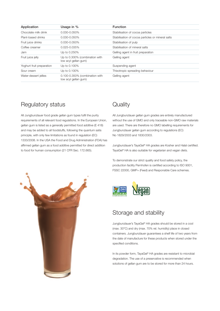| Application               | Usage in %                                             | <b>Function</b>                                   |
|---------------------------|--------------------------------------------------------|---------------------------------------------------|
| Chocolate milk drink      | 0.030-0.050%                                           | Stabilisation of cocoa particles                  |
| Plant-based drinks        | 0.030-0.050%                                           | Stabilisation of cocoa particles or mineral salts |
| Fruit juice drinks        | 0.030-0.050%                                           | Stabilisation of pulp                             |
| Coffee creamer            | $0.025 - 0.035\%$                                      | Stabilisation of mineral salts                    |
| Jam                       | Up to 0.250%                                           | Gelling agent in fruit preparation                |
| Fruit juice jelly         | Up to 0.300% (combination with<br>low acyl gellan gum) | Gelling agent                                     |
| Yoghurt fruit preparation | Up to 0.100%                                           | Suspending agent                                  |
| Sour cream                | Up to 0.100%                                           | Thixotropic spreading behaviour                   |
| Water-dessert jellies     | 0.100-0.350% (combination with<br>low acyl gellan gum) | Gelling agent                                     |

# Regulatory status

All Jungbunzlauer food grade gellan gum types fulfil the purity requirements of all relevant food regulations. In the European Union, gellan gum is listed as a generally permitted food additive (E 418) and may be added to all foodstuffs, following the quantum satis principle, with only few limitations as found in regulation (EC) 1333/2008. In the USA the Food and Drug Administration (FDA) has affirmed gellan gum as a food additive permitted for direct addition to food for human consumption (21 CFR Sec. 172.665).

# **Quality**

All Jungbunzlauer gellan gum grades are entirely manufactured without the use of GMO and only traceable non-GMO raw materials are used. There are therefore no GMO labelling requirements for Jungbunzlauer gellan gum according to regulations (EC) No 1829/2003 and 1830/2003.

Jungbunzlauer's TayaGel® HA grades are Kosher and Halal certified. TayaGel® HA is also suitable for vegetarian and vegan diets.

To demonstrate our strict quality and food safety policy, the production facility Pernhofen is certified according to ISO 9001, FSSC 22000, GMP+ (Feed) and Responsible Care schemes.



# Storage and stability

Jungbunzlauer's TayaGel® HA grades should be stored in a cool (max. 30°C) and dry (max. 70% rel. humidity) place in closed containers. Jungbunzlauer guarantees a shelf life of two years from the date of manufacture for these products when stored under the specified conditions.

In its powder form, TayaGel® HA grades are resistant to microbial degradation. The use of a preservative is recommended when solutions of gellan gum are to be stored for more than 24 hours.